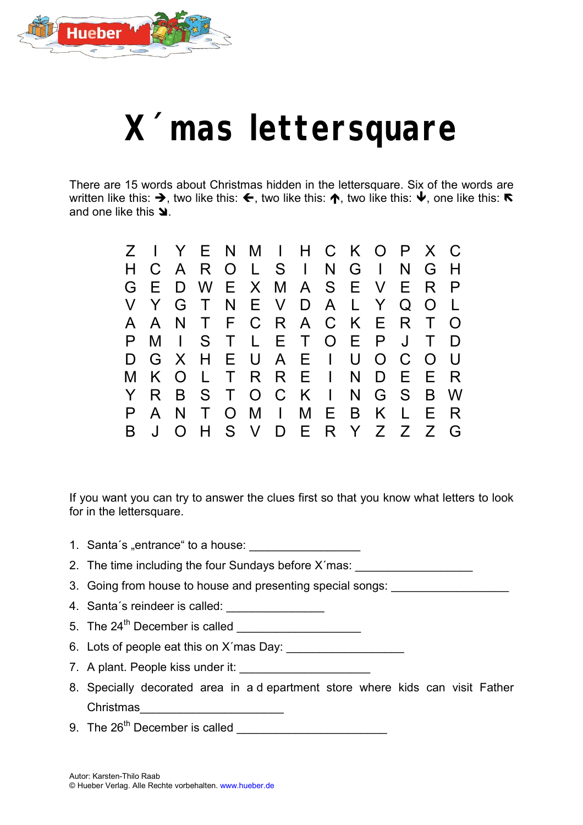

## **X´mas lettersquare**

There are 15 words about Christmas hidden in the lettersquare. Six of the words are written like this:  $\blacktriangleright$ , two like this:  $\blacklozenge$ , two like this:  $\blacklozenge$ , two like this:  $\blacktriangleright$ ,  $\blacktriangleright$  one like this:  $\blacktriangleright$ and one like this  $\blacktriangle$ .

| $Z \perp$ |              |     | Y E N M I H C K O P X C |       |         |  |                     |         |   |                |
|-----------|--------------|-----|-------------------------|-------|---------|--|---------------------|---------|---|----------------|
| H         | C            |     | A R                     |       | 0 L S I |  | $N$ $G$ $\vert$     | N       | G | H              |
| G         | E            | D   |                         |       |         |  | W E X M A S E V E R |         |   | P              |
|           | V Y          |     | G T                     |       |         |  | N E V D A L Y       | $Q$ $O$ |   | $\mathbb{R}^n$ |
|           | A A          |     | N T                     |       |         |  | F C R A C K E R T   |         |   | $\Omega$       |
|           | M            |     | I S T L E T O E P J     |       |         |  |                     |         |   | D              |
| D.        |              |     | G X H E U A E I U O C O |       |         |  |                     |         |   | - U            |
|           | K .          | O L |                         |       | TRREI   |  | N D E E             |         |   | - R            |
|           | R.           |     | B S T O C K I           |       |         |  | N G S B             |         |   | W              |
|           | $\mathsf{A}$ | N   | $\top$                  |       |         |  | O M I M E B K L     |         | E | R              |
| B         |              |     |                         | H S V |         |  | D E R Y Z Z Z       |         |   | G              |
|           |              |     |                         |       |         |  |                     |         |   |                |

If you want you can try to answer the clues first so that you know what letters to look for in the lettersquare.

- 1. Santa's "entrance" to a house:
- 2. The time including the four Sundays before X'mas:
- 3. Going from house to house and presenting special songs:
- 4. Santa´s reindeer is called: \_\_\_\_\_\_\_\_\_\_\_\_\_\_\_
- 5. The 24<sup>th</sup> December is called
- 6. Lots of people eat this on X´mas Day: \_\_\_\_\_\_\_\_\_\_\_\_\_\_\_\_\_\_
- 7. A plant. People kiss under it:
- 8. Specially decorated area in a d epartment store where kids can visit Father Christmas
- 9. The 26th December is called \_\_\_\_\_\_\_\_\_\_\_\_\_\_\_\_\_\_\_\_\_\_\_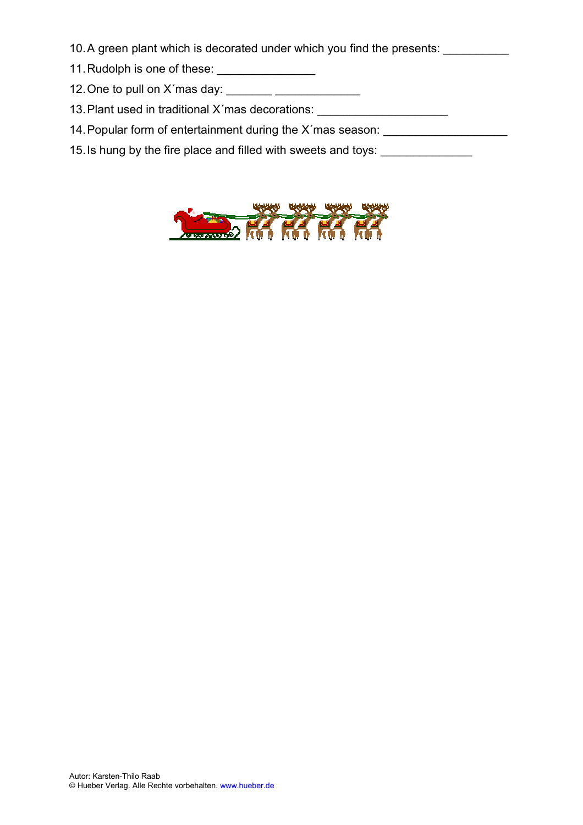- 10. A green plant which is decorated under which you find the presents:
- 11. Rudolph is one of these: \_\_\_\_\_\_\_\_\_\_\_\_\_\_\_
- 12. One to pull on  $X$  mas day:  $\frac{1}{1}$
- 13. Plant used in traditional X'mas decorations: \_\_\_\_\_\_\_\_\_\_\_\_\_\_\_\_\_\_\_\_\_\_\_\_\_\_\_\_\_\_\_
- 14. Popular form of entertainment during the X'mas season: \_\_\_\_\_\_\_\_\_\_\_\_\_\_\_\_\_\_\_\_\_
- 15. Is hung by the fire place and filled with sweets and toys: \_\_\_\_\_\_\_\_\_\_\_\_\_\_\_\_\_